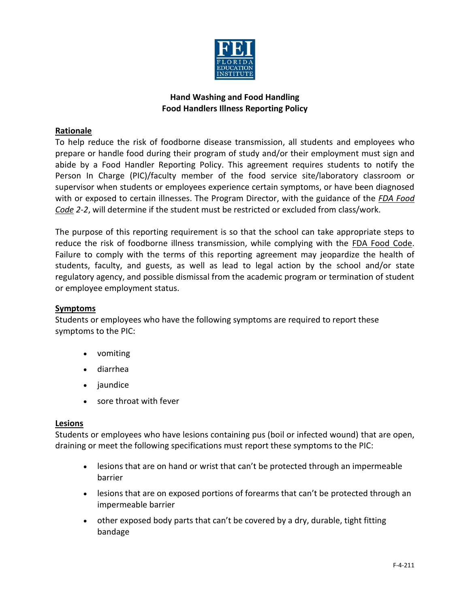

### **Rationale**

To help reduce the risk of foodborne disease transmission, all students and employees who prepare or handle food during their program of study and/or their employment must sign and abide by a Food Handler Reporting Policy. This agreement requires students to notify the Person In Charge (PIC)/faculty member of the food service site/laboratory classroom or supervisor when students or employees experience certain symptoms, or have been diagnosed with or exposed to certain illnesses. The Program Director, with the guidance of the *FDA Food Code 2-2*, will determine if the student must be restricted or excluded from class/work.

The purpose of this reporting requirement is so that the school can take appropriate steps to reduce the risk of foodborne illness transmission, while complying with the FDA Food Code. Failure to comply with the terms of this reporting agreement may jeopardize the health of students, faculty, and guests, as well as lead to legal action by the school and/or state regulatory agency, and possible dismissal from the academic program or termination of student or employee employment status.

### **Symptoms**

Students or employees who have the following symptoms are required to report these symptoms to the PIC:

- vomiting
- diarrhea
- jaundice
- sore throat with fever

#### **Lesions**

Students or employees who have lesions containing pus (boil or infected wound) that are open, draining or meet the following specifications must report these symptoms to the PIC:

- lesions that are on hand or wrist that can't be protected through an impermeable barrier
- lesions that are on exposed portions of forearms that can't be protected through an impermeable barrier
- other exposed body parts that can't be covered by a dry, durable, tight fitting bandage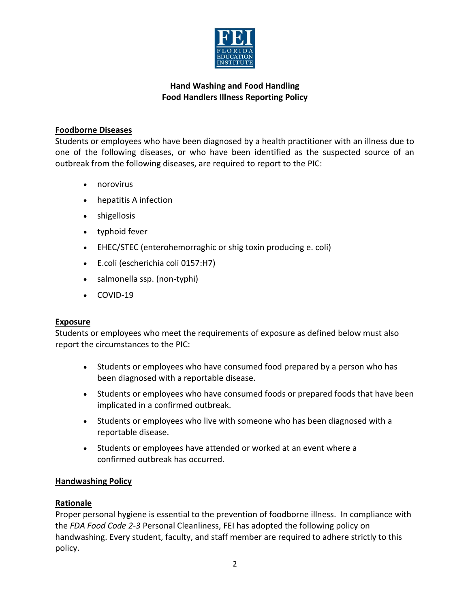

### **Foodborne Diseases**

Students or employees who have been diagnosed by a health practitioner with an illness due to one of the following diseases, or who have been identified as the suspected source of an outbreak from the following diseases, are required to report to the PIC:

- norovirus
- hepatitis A infection
- shigellosis
- typhoid fever
- EHEC/STEC (enterohemorraghic or shig toxin producing e. coli)
- E.coli (escherichia coli 0157:H7)
- salmonella ssp. (non-typhi)
- COVID-19

### **Exposure**

Students or employees who meet the requirements of exposure as defined below must also report the circumstances to the PIC:

- Students or employees who have consumed food prepared by a person who has been diagnosed with a reportable disease.
- Students or employees who have consumed foods or prepared foods that have been implicated in a confirmed outbreak.
- Students or employees who live with someone who has been diagnosed with a reportable disease.
- Students or employees have attended or worked at an event where a confirmed outbreak has occurred.

### **Handwashing Policy**

### **Rationale**

Proper personal hygiene is essential to the prevention of foodborne illness. In compliance with the *FDA Food Code 2-3* Personal Cleanliness, FEI has adopted the following policy on handwashing. Every student, faculty, and staff member are required to adhere strictly to this policy.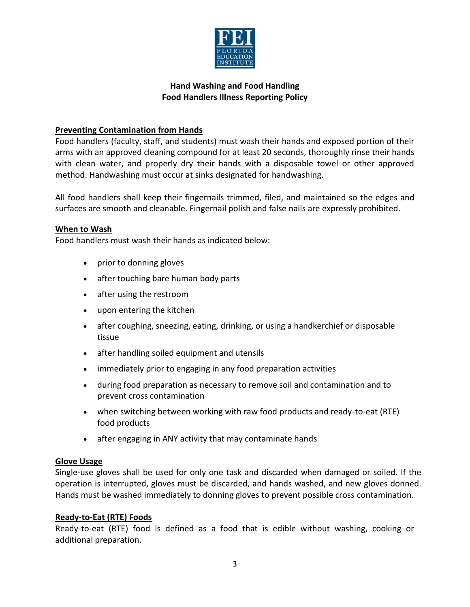

## **Preventing Contamination from Hands**

Food handlers (faculty, staff, and students) must wash their hands and exposed portion of their arms with an approved cleaning compound for at least 20 seconds, thoroughly rinse their hands with clean water, and properly dry their hands with a disposable towel or other approved method. Handwashing must occur at sinks designated for handwashing.

All food handlers shall keep their fingernails trimmed, filed, and maintained so the edges and surfaces are smooth and cleanable. Fingernail polish and false nails are expressly prohibited.

### **When to Wash**

Food handlers must wash their hands as indicated below:

- prior to donning gloves
- after touching bare human body parts
- after using the restroom
- upon entering the kitchen
- after coughing, sneezing, eating, drinking, or using a handkerchief or disposable tissue
- after handling soiled equipment and utensils
- immediately prior to engaging in any food preparation activities
- during food preparation as necessary to remove soil and contamination and to prevent cross contamination
- when switching between working with raw food products and ready-to-eat (RTE) food products
- after engaging in ANY activity that may contaminate hands

### **Glove Usage**

Single-use gloves shall be used for only one task and discarded when damaged or soiled. If the operation is interrupted, gloves must be discarded, and hands washed, and new gloves donned. Hands must be washed immediately to donning gloves to prevent possible cross contamination.

### **Ready-to-Eat (RTE) Foods**

Ready-to-eat (RTE) food is defined as a food that is edible without washing, cooking or additional preparation.